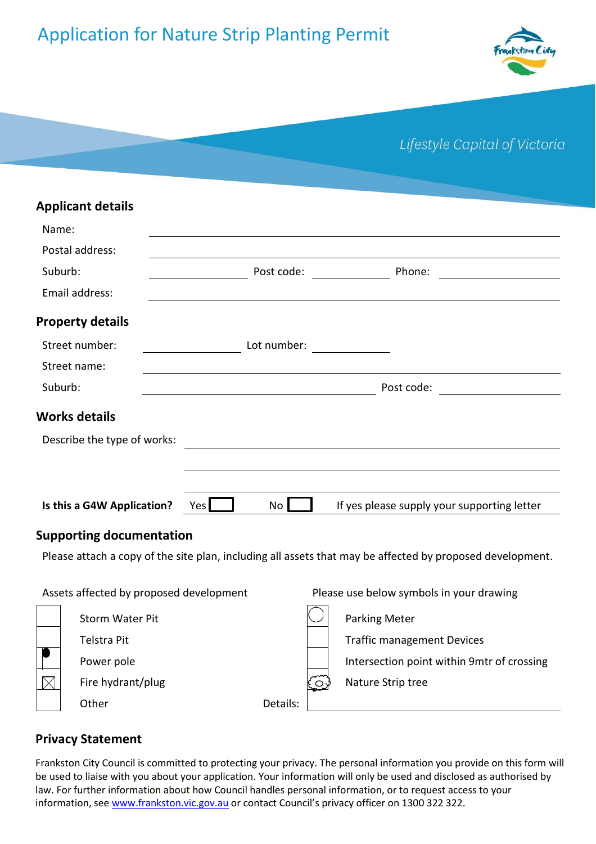# Application for Nature Strip Planting Permit



| Lifestyle Capital of Victoria |  |  |  |
|-------------------------------|--|--|--|
|-------------------------------|--|--|--|

| <b>Applicant details</b>    |                          |                                                                                                                                                                                                                                                |
|-----------------------------|--------------------------|------------------------------------------------------------------------------------------------------------------------------------------------------------------------------------------------------------------------------------------------|
| Name:                       |                          |                                                                                                                                                                                                                                                |
| Postal address:             |                          |                                                                                                                                                                                                                                                |
| Suburb:                     | Post code:               | Phone:<br><u>and a strong and a strong strong and a strong strong strong and a strong strong strong strong strong strong strong strong strong strong strong strong strong strong strong strong strong strong strong strong strong strong s</u> |
| Email address:              |                          |                                                                                                                                                                                                                                                |
| <b>Property details</b>     |                          |                                                                                                                                                                                                                                                |
| Street number:              | Lot number: ____________ |                                                                                                                                                                                                                                                |
| Street name:                |                          |                                                                                                                                                                                                                                                |
| Suburb:                     |                          | Post code:                                                                                                                                                                                                                                     |
| <b>Works details</b>        |                          |                                                                                                                                                                                                                                                |
| Describe the type of works: |                          |                                                                                                                                                                                                                                                |
|                             |                          |                                                                                                                                                                                                                                                |
|                             |                          |                                                                                                                                                                                                                                                |
| Is this a G4W Application?  | No <sub>1</sub><br>Yes   | If yes please supply your supporting letter                                                                                                                                                                                                    |
| $C_{i}$                     |                          |                                                                                                                                                                                                                                                |

# **Supporting documentation**

Please attach a copy of the site plan, including all assets that may be affected by proposed development.

| Assets affected by proposed development |                        | Please use below symbols in your drawing |             |                                            |
|-----------------------------------------|------------------------|------------------------------------------|-------------|--------------------------------------------|
|                                         | <b>Storm Water Pit</b> |                                          |             | <b>Parking Meter</b>                       |
|                                         | Telstra Pit            |                                          |             | <b>Traffic management Devices</b>          |
|                                         | Power pole             |                                          |             | Intersection point within 9mtr of crossing |
|                                         | Fire hydrant/plug      |                                          | <u>.೦</u> ′ | Nature Strip tree                          |
|                                         | Other                  | Details:                                 |             |                                            |

# **Privacy Statement**

Frankston City Council is committed to protecting your privacy. The personal information you provide on this form will be used to liaise with you about your application. Your information will only be used and disclosed as authorised by law. For further information about how Council handles personal information, or to request access to your information, se[e www.frankston.vic.gov.au](http://www.frankston.vic.gov.au/) or contact Council's privacy officer on 1300 322 322.